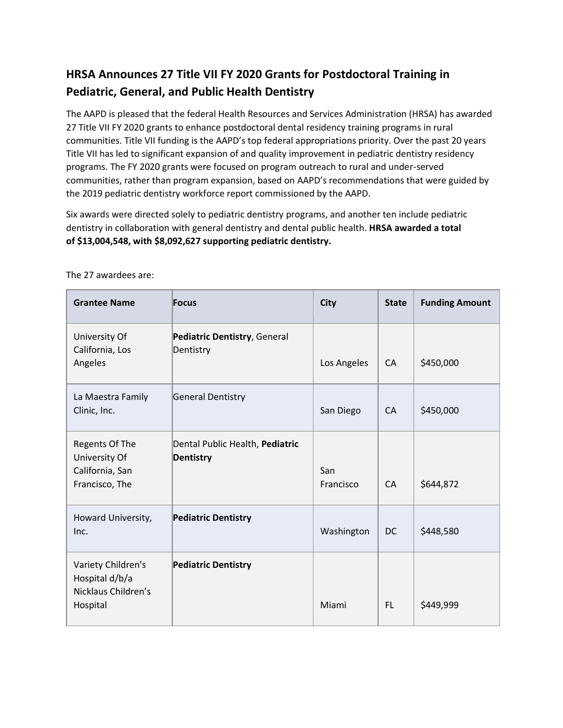## **HRSA Announces 27 Title VII FY 2020 Grants for Postdoctoral Training in Pediatric, General, and Public Health Dentistry**

The AAPD is pleased that the federal Health Resources and Services Administration (HRSA) has awarded 27 Title VII FY 2020 grants to enhance postdoctoral dental residency training programs in rural communities. Title VII funding is the AAPD's top federal appropriations priority. Over the past 20 years Title VII has led to significant expansion of and quality improvement in pediatric dentistry residency programs. The FY 2020 grants were focused on program outreach to rural and under-served communities, rather than program expansion, based on AAPD's recommendations that were guided by the 2019 pediatric dentistry workforce report commissioned by the AAPD.

Six awards were directed solely to pediatric dentistry programs, and another ten include pediatric dentistry in collaboration with general dentistry and dental public health. **HRSA awarded a total of \$13,004,548, with \$8,092,627 supporting pediatric dentistry.** 

| <b>Grantee Name</b>                                                     | Focus                                               | <b>City</b>      | <b>State</b> | <b>Funding Amount</b> |
|-------------------------------------------------------------------------|-----------------------------------------------------|------------------|--------------|-----------------------|
| University Of<br>California, Los<br>Angeles                             | Pediatric Dentistry, General<br>Dentistry           | Los Angeles      | <b>CA</b>    | \$450,000             |
| La Maestra Family<br>Clinic, Inc.                                       | <b>General Dentistry</b>                            | San Diego        | CA           | \$450,000             |
| Regents Of The<br>University Of<br>California, San<br>Francisco, The    | Dental Public Health, Pediatric<br><b>Dentistry</b> | San<br>Francisco | <b>CA</b>    | \$644,872             |
| Howard University,<br>Inc.                                              | <b>Pediatric Dentistry</b>                          | Washington       | <b>DC</b>    | \$448,580             |
| Variety Children's<br>Hospital d/b/a<br>Nicklaus Children's<br>Hospital | <b>Pediatric Dentistry</b>                          | Miami            | FL.          | \$449,999             |

The 27 awardees are: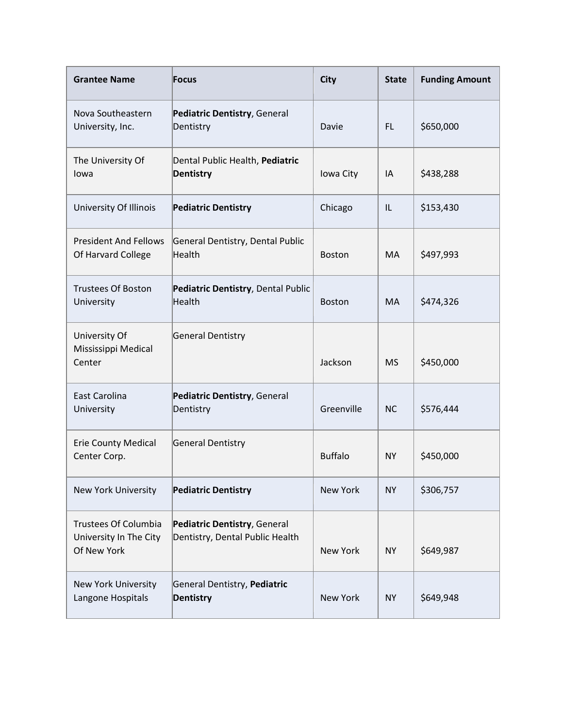| <b>Grantee Name</b>                                                  | <b>Focus</b>                                                    | <b>City</b>     | <b>State</b> | <b>Funding Amount</b> |
|----------------------------------------------------------------------|-----------------------------------------------------------------|-----------------|--------------|-----------------------|
| Nova Southeastern<br>University, Inc.                                | Pediatric Dentistry, General<br>Dentistry                       | Davie           | FL.          | \$650,000             |
| The University Of<br>lowa                                            | Dental Public Health, Pediatric<br><b>Dentistry</b>             | Iowa City       | IA           | \$438,288             |
| University Of Illinois                                               | <b>Pediatric Dentistry</b>                                      | Chicago         | IL           | \$153,430             |
| <b>President And Fellows</b><br>Of Harvard College                   | General Dentistry, Dental Public<br>Health                      | <b>Boston</b>   | MA           | \$497,993             |
| <b>Trustees Of Boston</b><br>University                              | Pediatric Dentistry, Dental Public<br>Health                    | <b>Boston</b>   | MA           | \$474,326             |
| University Of<br>Mississippi Medical<br>Center                       | <b>General Dentistry</b>                                        | Jackson         | <b>MS</b>    | \$450,000             |
| East Carolina<br>University                                          | Pediatric Dentistry, General<br>Dentistry                       | Greenville      | <b>NC</b>    | \$576,444             |
| <b>Erie County Medical</b><br>Center Corp.                           | <b>General Dentistry</b>                                        | <b>Buffalo</b>  | <b>NY</b>    | \$450,000             |
| <b>New York University</b>                                           | <b>Pediatric Dentistry</b>                                      | New York        | <b>NY</b>    | \$306,757             |
| <b>Trustees Of Columbia</b><br>University In The City<br>Of New York | Pediatric Dentistry, General<br>Dentistry, Dental Public Health | <b>New York</b> | <b>NY</b>    | \$649,987             |
| <b>New York University</b><br>Langone Hospitals                      | General Dentistry, Pediatric<br><b>Dentistry</b>                | New York        | <b>NY</b>    | \$649,948             |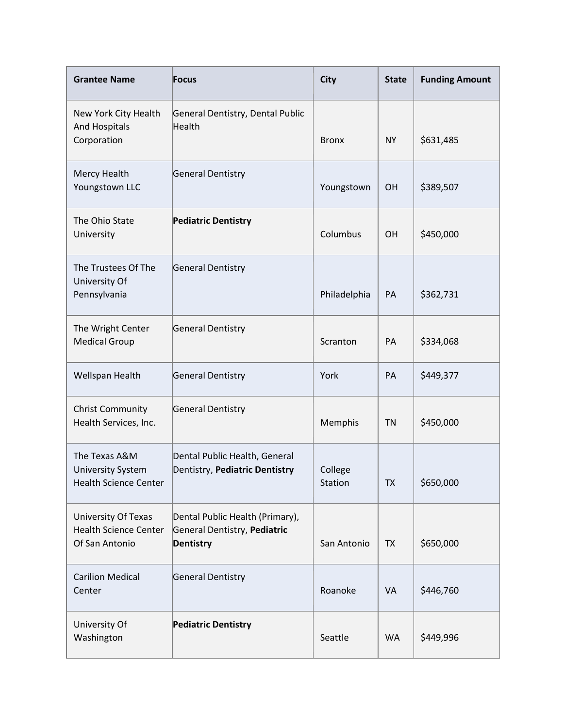| <b>Grantee Name</b>                                                          | <b>Focus</b>                                                                        | <b>City</b>        | <b>State</b> | <b>Funding Amount</b> |
|------------------------------------------------------------------------------|-------------------------------------------------------------------------------------|--------------------|--------------|-----------------------|
| New York City Health<br>And Hospitals<br>Corporation                         | General Dentistry, Dental Public<br>Health                                          | <b>Bronx</b>       | <b>NY</b>    | \$631,485             |
| Mercy Health<br>Youngstown LLC                                               | <b>General Dentistry</b>                                                            | Youngstown         | OH           | \$389,507             |
| The Ohio State<br>University                                                 | <b>Pediatric Dentistry</b>                                                          | Columbus           | <b>OH</b>    | \$450,000             |
| The Trustees Of The<br>University Of<br>Pennsylvania                         | General Dentistry                                                                   | Philadelphia       | PA           | \$362,731             |
| The Wright Center<br><b>Medical Group</b>                                    | <b>General Dentistry</b>                                                            | Scranton           | PA           | \$334,068             |
| Wellspan Health                                                              | <b>General Dentistry</b>                                                            | York               | PA           | \$449,377             |
| <b>Christ Community</b><br>Health Services, Inc.                             | <b>General Dentistry</b>                                                            | Memphis            | <b>TN</b>    | \$450,000             |
| The Texas A&M<br><b>University System</b><br><b>Health Science Center</b>    | Dental Public Health, General<br>Dentistry, Pediatric Dentistry                     | College<br>Station | ТX           | \$650,000             |
| <b>University Of Texas</b><br><b>Health Science Center</b><br>Of San Antonio | Dental Public Health (Primary),<br>General Dentistry, Pediatric<br><b>Dentistry</b> | San Antonio        | <b>TX</b>    | \$650,000             |
| <b>Carilion Medical</b><br>Center                                            | <b>General Dentistry</b>                                                            | Roanoke            | <b>VA</b>    | \$446,760             |
| University Of<br>Washington                                                  | <b>Pediatric Dentistry</b>                                                          | Seattle            | <b>WA</b>    | \$449,996             |